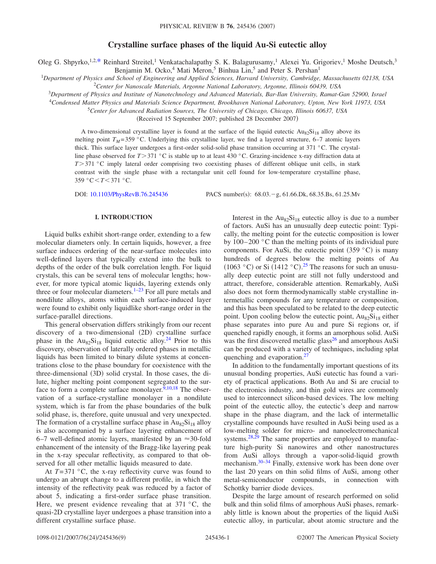# **Crystalline surface phases of the liquid Au-Si eutectic alloy**

Oleg G. Shpyrko,<sup>1,2[,\\*](#page-7-0)</sup> Reinhard Streitel,<sup>1</sup> Venkatachalapathy S. K. Balagurusamy,<sup>1</sup> Alexei Yu. Grigoriev,<sup>1</sup> Moshe Deutsch,<sup>3</sup>

Benjamin M. Ocko,<sup>4</sup> Mati Meron,<sup>5</sup> Binhua Lin,<sup>5</sup> and Peter S. Pershan<sup>1</sup>

<sup>1</sup>*Department of Physics and School of Engineering and Applied Sciences, Harvard University, Cambridge, Massachusetts 02138, USA* 2 *Center for Nanoscale Materials, Argonne National Laboratory, Argonne, Illinois 60439, USA*

<sup>3</sup>*Department of Physics and Institute of Nanotechnology and Advanced Materials, Bar-Ilan University, Ramat-Gan 52900, Israel*

<sup>4</sup>*Condensed Matter Physics and Materials Science Department, Brookhaven National Laboratory, Upton, New York 11973, USA*

<sup>5</sup>*Center for Advanced Radiation Sources, The University of Chicago, Chicago, Illinois 60637, USA*

(Received 15 September 2007; published 28 December 2007)

A two-dimensional crystalline layer is found at the surface of the liquid eutectic  $\text{Au}_{82}\text{Si}_{18}$  alloy above its melting point  $T_M$ =359 °C. Underlying this crystalline layer, we find a layered structure, 6–7 atomic layers thick. This surface layer undergoes a first-order solid-solid phase transition occurring at 371 °C. The crystalline phase observed for  $T > 371$  °C is stable up to at least 430 °C. Grazing-incidence x-ray diffraction data at *T*>371 °C imply lateral order comprising two coexisting phases of different oblique unit cells, in stark contrast with the single phase with a rectangular unit cell found for low-temperature crystalline phase, 359 °C-*T*-371 °C.

DOI: [10.1103/PhysRevB.76.245436](http://dx.doi.org/10.1103/PhysRevB.76.245436)

PACS number(s): 68.03. - g, 61.66.Dk, 68.35.Bs, 61.25.Mv

### **I. INTRODUCTION**

Liquid bulks exhibit short-range order, extending to a few molecular diameters only. In certain liquids, however, a free surface induces ordering of the near-surface molecules into well-defined layers that typically extend into the bulk to depths of the order of the bulk correlation length. For liquid crystals, this can be several tens of molecular lengths; however, for more typical atomic liquids, layering extends only three or four molecular diameters.<sup>1–[23](#page-7-2)</sup> For all pure metals and nondilute alloys, atoms within each surface-induced layer were found to exhibit only liquidlike short-range order in the surface-parallel directions.

This general observation differs strikingly from our recent discovery of a two-dimensional (2D) crystalline surface phase in the  $Au_{82}Si_{18}$  liquid eutectic alloy.<sup>24</sup> Prior to this discovery, observation of laterally ordered phases in metallic liquids has been limited to binary dilute systems at concentrations close to the phase boundary for coexistence with the three-dimensional (3D) solid crystal. In those cases, the dilute, higher melting point component segregated to the sur-face to form a complete surface monolayer.<sup>9[,10](#page-7-5)[,18](#page-7-6)</sup> The observation of a surface-crystalline monolayer in a nondilute system, which is far from the phase boundaries of the bulk solid phase, is, therefore, quite unusual and very unexpected. The formation of a crystalline surface phase in  $Au_{82}Si_{18}$  alloy is also accompanied by a surface layering enhancement of 6–7 well-defined atomic layers, manifested by an  $\approx$ 30-fold enhancement of the intensity of the Bragg-like layering peak in the x-ray specular reflectivity, as compared to that observed for all other metallic liquids measured to date.

At  $T=371$  °C, the x-ray reflectivity curve was found to undergo an abrupt change to a different profile, in which the intensity of the reflectivity peak was reduced by a factor of about 5, indicating a first-order surface phase transition. Here, we present evidence revealing that at  $371 \degree C$ , the quasi-2D crystalline layer undergoes a phase transition into a different crystalline surface phase.

Interest in the  $Au_{82}Si_{18}$  eutectic alloy is due to a number of factors. AuSi has an unusually deep eutectic point: Typically, the melting point for the eutectic composition is lower by 100–200 °C than the melting points of its individual pure components. For AuSi, the eutectic point  $(359 \degree C)$  is many hundreds of degrees below the melting points of Au  $(1063 \text{ °C})$  or Si  $(1412 \text{ °C})$ .<sup>[25](#page-7-7)</sup> The reasons for such an unusually deep eutectic point are still not fully understood and attract, therefore, considerable attention. Remarkably, AuSi also does not form thermodynamically stable crystalline intermetallic compounds for any temperature or composition, and this has been speculated to be related to the deep eutectic point. Upon cooling below the eutectic point,  $Au_{82}Si_{18}$  either phase separates into pure Au and pure Si regions or, if quenched rapidly enough, it forms an amorphous solid. AuSi was the first discovered metallic glass<sup>26</sup> and amorphous AuSi can be produced with a variety of techniques, including splat quenching and evaporation.<sup>27</sup>

In addition to the fundamentally important questions of its unusual bonding properties, AuSi eutectic has found a variety of practical applications. Both Au and Si are crucial to the electronics industry, and thin gold wires are commonly used to interconnect silicon-based devices. The low melting point of the eutectic alloy, the eutectic's deep and narrow shape in the phase diagram, and the lack of intermetallic crystalline compounds have resulted in AuSi being used as a low-melting solder for micro- and nanoelectromechanical systems.<sup>28,[29](#page-8-3)</sup> The same properties are employed to manufacture high-purity Si nanowires and other nanostructures from AuSi alloys through a vapor-solid-liquid growth mechanism.<sup>30[–34](#page-8-5)</sup> Finally, extensive work has been done over the last 20 years on thin solid films of AuSi, among other metal-semiconductor compounds, in connection with Schottky barrier diode devices.

Despite the large amount of research performed on solid bulk and thin solid films of amorphous AuSi phases, remarkably little is known about the properties of the liquid AuSi eutectic alloy, in particular, about atomic structure and the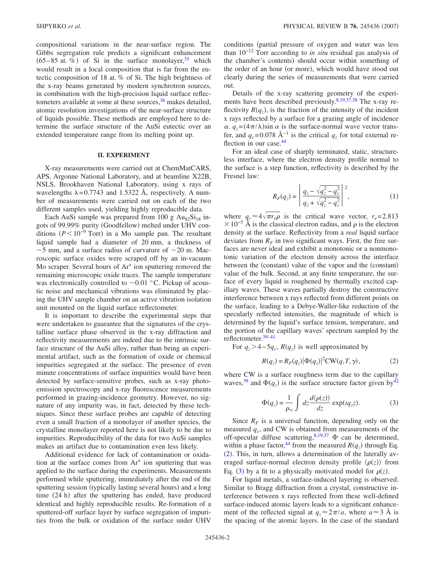compositional variations in the near-surface region. The Gibbs segregation rule predicts a significant enhancement  $(65-85$  at. %) of Si in the surface monolayer,<sup>35</sup> which would result in a local composition that is far from the eutectic composition of 18 at. % of Si. The high brightness of the x-ray beams generated by modern synchrotron sources, in combination with the high-precision liquid surface reflectometers available at some at these sources, $36$  makes detailed, atomic resolution investigations of the near-surface structure of liquids possible. These methods are employed here to determine the surface structure of the AuSi eutectic over an extended temperature range from its melting point up.

## **II. EXPERIMENT**

X-ray measurements were carried out at ChemMatCARS, APS, Argonne National Laboratory, and at beamline X22B, NSLS, Brookhaven National Laboratory, using x rays of wavelengths  $\lambda = 0.7743$  and 1.5322 Å, respectively. A number of measurements were carried out on each of the two different samples used, yielding highly reproducible data.

Each AuSi sample was prepared from 100 g  $Au_{82}Si_{18}$  ingots of 99.99% purity (Goodfellow) melted under UHV conditions  $(P < 10^{-9}$  Torr) in a Mo sample pan. The resultant liquid sample had a diameter of 20 mm, a thickness of  $\sim$  5 mm, and a surface radius of curvature of  $\sim$  20 m. Macroscopic surface oxides were scraped off by an in-vacuum Mo scraper. Several hours of  $Ar^+$  ion sputtering removed the remaining microscopic oxide traces. The sample temperature was electronically controlled to  $\sim 0.01$  °C. Pickup of acoustic noise and mechanical vibrations was eliminated by placing the UHV sample chamber on an active vibration isolation unit mounted on the liquid surface reflectometer.

It is important to describe the experimental steps that were undertaken to guarantee that the signatures of the crystalline surface phase observed in the x-ray diffraction and reflectivity measurements are indeed due to the intrinsic surface structure of the AuSi alloy, rather than being an experimental artifact, such as the formation of oxide or chemical impurities segregated at the surface. The presence of even minute concentrations of surface impurities would have been detected by surface-sensitive probes, such as x-ray photoemission spectroscopy and x-ray fluorescence measurements performed in grazing-incidence geometry. However, no signature of any impurity was, in fact, detected by these techniques. Since these surface probes are capable of detecting even a small fraction of a monolayer of another species, the crystalline monolayer reported here is not likely to be due to impurities. Reproducibility of the data for two AuSi samples makes an artifact due to contamination even less likely.

Additional evidence for lack of contamination or oxidation at the surface comes from  $Ar^+$  ion sputtering that was applied to the surface during the experiments. Measurements performed while sputtering, immediately after the end of the sputtering session (typically lasting several hours) and a long time (24 h) after the sputtering has ended, have produced identical and highly reproducible results. Re-formation of a sputtered-off surface layer by surface segregation of impurities from the bulk or oxidation of the surface under UHV conditions (partial pressure of oxygen and water was less than 10−12 Torr according to *in situ* residual gas analysis of the chamber's contents) should occur within something of the order of an hour (or more), which would have stood out clearly during the series of measurements that were carried out.

Details of the x-ray scattering geometry of the experi-ments have been described previously.<sup>8[,19](#page-7-9)[,37](#page-8-8)[,38](#page-8-9)</sup> The x-ray reflectivity  $R(q_z)$ , is the fraction of the intensity of the incident x rays reflected by a surface for a grazing angle of incidence  $\alpha$ .  $q_z = (4\pi/\lambda)\sin \alpha$  is the surface-normal wave vector transfer, and  $q_c$ =0.078 Å<sup>-1</sup> is the critical  $q_z$  for total external reflection in our case.<sup>44</sup>

For an ideal case of sharply terminated, static, structureless interface, where the electron density profile normal to the surface is a step function, reflectivity is described by the Fresnel law:

$$
R_F(q_z) = \left| \frac{q_z - \sqrt{q_z^2 - q_c^2}}{q_z + \sqrt{q_z^2 - q_c^2}} \right|^2, \tag{1}
$$

where  $q_c \approx 4\sqrt{\pi r_e \rho}$  is the critical wave vector,  $r_e = 2.813$  $\times$  10<sup>-5</sup> Å is the classical electron radius, and  $\rho$  is the electron density at the surface. Reflectivity from a *real* liquid surface deviates from  $R_F$  in two significant ways. First, the free surfaces are never ideal and exhibit a monotonic or a nonmonotonic variation of the electron density across the interface between the (constant) value of the vapor and the (constant) value of the bulk. Second, at any finite temperature, the surface of every liquid is roughened by thermally excited capillary waves. These waves partially destroy the constructive interference between x rays reflected from different points on the surface, leading to a Debye-Waller-like reduction of the specularly reflected intensities, the magnitude of which is determined by the liquid's surface tension, temperature, and the portion of the capillary waves' spectrum sampled by the reflectometer[.39–](#page-8-11)[41](#page-8-12)

<span id="page-1-0"></span>For  $q_z > 4-5q_c$ ,  $R(q_z)$  is well approximated by

$$
R(q_z) = R_F(q_z) |\Phi(q_z)|^2 \text{CW}(q, T, \gamma), \tag{2}
$$

<span id="page-1-1"></span>where CW is a surface roughness term due to the capillary waves,<sup>39</sup> and  $\Phi(q_z)$  is the surface structure factor given by<sup>42</sup>

$$
\Phi(q_z) = \frac{1}{\rho_{\infty}} \int dz \frac{d\langle \rho(z) \rangle}{dz} \exp(iq_z z). \tag{3}
$$

Since  $R_F$  is a universal function, depending only on the measured  $q_c$ , and CW is obtained from measurements of the off-specular diffuse scattering,  $8,19,37$  $8,19,37$  $8,19,37$   $\Phi$  can be determined, within a phase factor,<sup>44</sup> from the measured  $R(q_z)$  through Eq. ([2](#page-1-0)). This, in turn, allows a determination of the laterally averaged surface-normal electron density profile  $\langle \rho(z) \rangle$  from Eq. ([3](#page-1-1)) by a fit to a physically motivated model for  $\rho(z)$ .

For liquid metals, a surface-induced layering is observed. Similar to Bragg diffraction from a crystal, constructive interference between x rays reflected from these well-defined surface-induced atomic layers leads to a significant enhancement of the reflected signal at  $q_z \approx 2\pi/a$ , where  $a \approx 3$  Å is the spacing of the atomic layers. In the case of the standard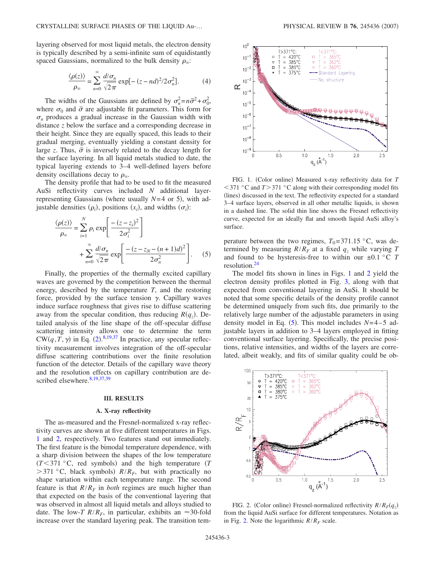layering observed for most liquid metals, the electron density is typically described by a semi-infinite sum of equidistantly spaced Gaussians, normalized to the bulk density  $\rho_{\infty}$ :

$$
\frac{\langle \rho(z) \rangle}{\rho_{\infty}} = \sum_{n=0}^{\infty} \frac{d/\sigma_n}{\sqrt{2\pi}} \exp[-(z - nd)^2 / 2\sigma_n^2].
$$
 (4)

The widths of the Gaussians are defined by  $\sigma_n^2 = n\bar{\sigma}^2 + \sigma_0^2$ , where  $\sigma_0$  and  $\bar{\sigma}$  are adjustable fit parameters. This form for  $\sigma_n$  produces a gradual increase in the Gaussian width with distance *z* below the surface and a corresponding decrease in their height. Since they are equally spaced, this leads to their gradual merging, eventually yielding a constant density for large *z*. Thus,  $\bar{\sigma}$  is inversely related to the decay length for the surface layering. In all liquid metals studied to date, the typical layering extends to 3–4 well-defined layers before density oscillations decay to  $\rho_{\infty}$ .

The density profile that had to be used to fit the measured AuSi reflectivity curves included *N* additional layerrepresenting Gaussians (where usually  $N=4$  or 5), with adjustable densities  $(\rho_i)$ , positions  $(x_i)$ , and widths  $(\sigma_i)$ :

<span id="page-2-2"></span>
$$
\frac{\langle \rho(z) \rangle}{\rho_{\infty}} = \sum_{i=1}^{N} \rho_i \exp\left[\frac{-(z-z_i)^2}{2\sigma_i^2}\right] + \sum_{n=0}^{\infty} \frac{d/\sigma_n}{\sqrt{2\pi}} \exp\left[\frac{-(z-z_N - (n+1)d)^2}{2\sigma_n^2}\right].
$$
 (5)

Finally, the properties of the thermally excited capillary waves are governed by the competition between the thermal energy, described by the temperature *T*, and the restoring force, provided by the surface tension  $\gamma$ . Capillary waves induce surface roughness that gives rise to diffuse scattering away from the specular condition, thus reducing  $R(q_z)$ . Detailed analysis of the line shape of the off-specular diffuse scattering intensity allows one to determine the term  $CW(q, T, \gamma)$  in Eq. ([2](#page-1-0)).<sup>[8,](#page-7-8)[19,](#page-7-9)[37](#page-8-8)</sup> In practice, any specular reflectivity measurement involves integration of the off-specular diffuse scattering contributions over the finite resolution function of the detector. Details of the capillary wave theory and the resolution effects on capillary contribution are de-scribed elsewhere.<sup>8,[19,](#page-7-9)[37,](#page-8-8)[39](#page-8-11)</sup>

#### **III. RESULTS**

#### **A. X-ray reflectivity**

The as-measured and the Fresnel-normalized x-ray reflectivity curves are shown at five different temperatures in Figs. [1](#page-2-0) and [2,](#page-2-1) respectively. Two features stand out immediately. The first feature is the bimodal temperature dependence, with a sharp division between the shapes of the low temperature  $(T< 371$  °C, red symbols) and the high temperature  $(T< 371$  °C,  $>$  371 °C, black symbols)  $R/R<sub>F</sub>$ , but with practically no shape variation within each temperature range. The second feature is that  $R/R_F$  in *both* regimes are much higher than that expected on the basis of the conventional layering that was observed in almost all liquid metals and alloys studied to date. The low-*T*  $R/R_F$ , in particular, exhibits an  $\approx$  30-fold increase over the standard layering peak. The transition tem-

<span id="page-2-0"></span>

FIG. 1. (Color online) Measured x-ray reflectivity data for *T*  $<$  371 °C and *T* > 371 °C along with their corresponding model fits (lines) discussed in the text. The reflectivity expected for a standard 3–4 surface layers, observed in all other metallic liquids, is shown in a dashed line. The solid thin line shows the Fresnel reflectivity curve, expected for an ideally flat and smooth liquid AuSi alloy's surface.

perature between the two regimes,  $T_0$ =371.15 °C, was determined by measuring  $R/R_F$  at a fixed  $q_z$  while varying T and found to be hysteresis-free to within our  $\pm 0.1$  °C *T* resolution[.24](#page-7-3)

The model fits shown in lines in Figs. [1](#page-2-0) and [2](#page-2-1) yield the electron density profiles plotted in Fig. [3,](#page-3-0) along with that expected from conventional layering in AuSi. It should be noted that some specific details of the density profile cannot be determined uniquely from such fits, due primarily to the relatively large number of the adjustable parameters in using density model in Eq.  $(5)$  $(5)$  $(5)$ . This model includes  $N=4-5$  adjustable layers in addition to 3–4 layers employed in fitting conventional surface layering. Specifically, the precise positions, relative intensities, and widths of the layers are correlated, albeit weakly, and fits of similar quality could be ob-

<span id="page-2-1"></span>

FIG. 2. (Color online) Fresnel-normalized reflectivity  $R/R_F(q_z)$ from the liquid AuSi surface for different temperatures. Notation as in Fig. [2.](#page-2-1) Note the logarithmic  $R/R_F$  scale.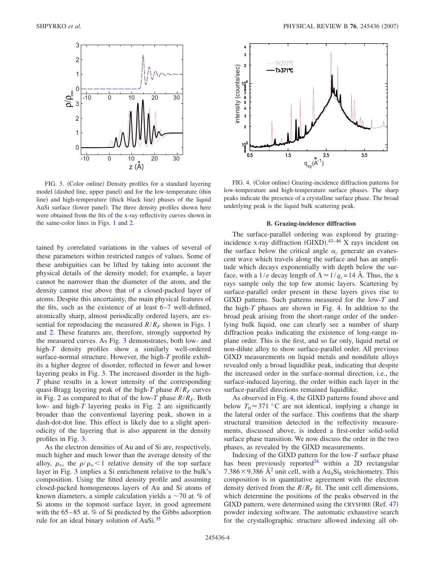<span id="page-3-0"></span>

FIG. 3. (Color online) Density profiles for a standard layering model (dashed line, upper panel) and for the low-temperature (thin line) and high-temperature (thick black line) phases of the liquid AuSi surface (lower panel). The three density profiles shown here were obtained from the fits of the x-ray reflectivity curves shown in the same-color lines in Figs. [1](#page-2-0) and [2.](#page-2-1)

tained by correlated variations in the values of several of these parameters within restricted ranges of values. Some of these ambiguities can be lifted by taking into account the physical details of the density model; for example, a layer cannot be narrower than the diameter of the atom, and the density cannot rise above that of a closed-packed layer of atoms. Despite this uncertainty, the main physical features of the fits, such as the existence of at least 6–7 well-defined, atomically sharp, almost periodically ordered layers, are essential for reproducing the measured  $R/R_F$  shown in Figs. [1](#page-2-0) and [2.](#page-2-1) These features are, therefore, strongly supported by the measured curves. As Fig. [3](#page-3-0) demonstrates, both low- and high-*T* density profiles show a similarly well-ordered surface-normal structure. However, the high-*T* profile exhibits a higher degree of disorder, reflected in fewer and lower layering peaks in Fig. [3.](#page-3-0) The increased disorder in the high-*T* phase results in a lower intensity of the corresponding quasi-Bragg layering peak of the high-*T* phase  $R/R<sub>F</sub>$  curves in Fig. [2](#page-2-1) as compared to that of the low-T phase  $R/R<sub>F</sub>$ . Both low- and high-*T* layering peaks in Fig. [2](#page-2-1) are significantly broader than the conventional layering peak, shown in a dash-dot-dot line. This effect is likely due to a slight aperiodicity of the layering that is also apparent in the density profiles in Fig. [3.](#page-3-0)

As the electron densities of Au and of Si are, respectively, much higher and much lower than the average density of the alloy,  $\rho_{\infty}$ , the  $\rho/\rho_{\infty} < 1$  relative density of the top surface layer in Fig. [3](#page-3-0) implies a Si enrichment relative to the bulk's composition. Using the fitted density profile and assuming closed-packed homogeneous layers of Au and Si atoms of known diameters, a simple calculation yields a  $\sim$  70 at. % of Si atoms in the topmost surface layer, in good agreement with the 65–85 at. % of Si predicted by the Gibbs adsorption rule for an ideal binary solution of AuSi.<sup>35</sup>

<span id="page-3-1"></span>

FIG. 4. (Color online) Grazing-incidence diffraction patterns for low-temperature and high-temperature surface phases. The sharp peaks indicate the presence of a crystalline surface phase. The broad underlying peak is the liquid bulk scattering peak.

## **B. Grazing-incidence diffraction**

The surface-parallel ordering was explored by grazingincidence x-ray diffraction  $(GIXD)$ .<sup>43-[46](#page-8-15)</sup> X rays incident on the surface below the critical angle  $\alpha_c$  generate an evanescent wave which travels along the surface and has an amplitude which decays exponentially with depth below the surface, with a 1/*e* decay length of  $\Lambda \approx 1/q_c = 14$  Å. Thus, the x rays sample only the top few atomic layers. Scattering by surface-parallel order present in these layers gives rise to GIXD patterns. Such patterns measured for the low-*T* and the high-*T* phases are shown in Fig. [4.](#page-3-1) In addition to the broad peak arising from the short-range order of the underlying bulk liquid, one can clearly see a number of sharp diffraction peaks indicating the existence of long-range inplane order. This is the first, and so far only, liquid metal or non-dilute alloy to show surface-parallel order. All previous GIXD measurements on liquid metals and nondilute alloys revealed only a broad liquidlike peak, indicating that despite the increased order in the surface-normal direction, i.e., the surface-induced layering, the order within each layer in the surface-parallel directions remained liquidlike.

As observed in Fig. [4,](#page-3-1) the GIXD patterns found above and below  $T_0 \approx 371$  °C are not identical, implying a change in the lateral order of the surface. This confirms that the sharp structural transition detected in the reflectivity measurements, discussed above, is indeed a first-order solid-solid surface phase transition. We now discuss the order in the two phases, as revealed by the GIXD measurements.

Indexing of the GIXD pattern for the low-*T* surface phase has been previously reported<sup>24</sup> within a 2D rectangular 7.386 × 9.386 Å<sup>2</sup> unit cell, with a Au<sub>4</sub>Si<sub>8</sub> stoichiometry. This composition is in quantitative agreement with the electron density derived from the  $R/R_F$  fit. The unit cell dimensions, which determine the positions of the peaks observed in the GIXD pattern, were determined using the CRYSFIRE (Ref. [47](#page-8-16)) powder indexing software. The automatic exhaustive search for the crystallographic structure allowed indexing all ob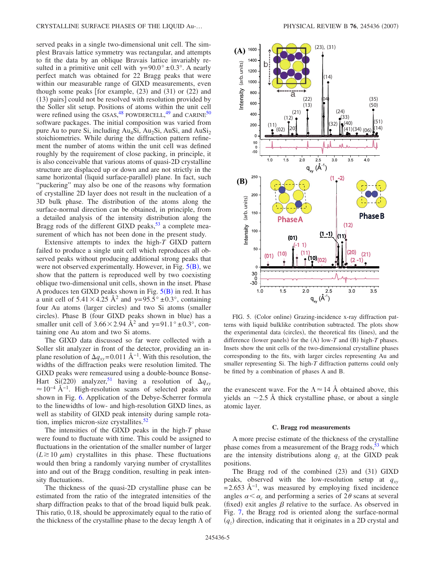served peaks in a single two-dimensional unit cell. The simplest Bravais lattice symmetry was rectangular, and attempts to fit the data by an oblique Bravais lattice invariably resulted in a primitive unit cell with  $\gamma = 90.0^{\circ} \pm 0.3^{\circ}$ . A nearly perfect match was obtained for 22 Bragg peaks that were within our measurable range of GIXD measurements, even though some peaks [for example,  $(23)$  and  $(31)$  or  $(22)$  and (13) pairs] could not be resolved with resolution provided by the Soller slit setup. Positions of atoms within the unit cell were refined using the GSAS,<sup>[48](#page-8-17)</sup> POWDERCELL,<sup>[49](#page-8-18)</sup> and CARINE<sup>[50](#page-8-19)</sup> software packages. The initial composition was varied from pure Au to pure Si, including  $Au<sub>4</sub>Si$ ,  $Au<sub>2</sub>Si$ ,  $AuSi$ , and  $AuSi<sub>2</sub>$ stoichiometries. While during the diffraction pattern refinement the number of atoms within the unit cell was defined roughly by the requirement of close packing, in principle, it is also conceivable that various atoms of quasi-2D crystalline structure are displaced up or down and are not strictly in the same horizontal (liquid surface-parallel) plane. In fact, such "puckering" may also be one of the reasons why formation of crystalline 2D layer does not result in the nucleation of a 3D bulk phase. The distribution of the atoms along the surface-normal direction can be obtained, in principle, from a detailed analysis of the intensity distribution along the Bragg rods of the different GIXD peaks,  $53$  a complete measurement of which has not been done in the present study.

Extensive attempts to index the high-*T* GIXD pattern failed to produce a single unit cell which reproduces all observed peaks without producing additional strong peaks that were not observed experimentally. However, in Fig.  $5(B)$  $5(B)$  $5(B)$ , we show that the pattern is reproduced well by two coexisting oblique two-dimensional unit cells, shown in the inset. Phase A produces ten GIXD peaks shown in Fig.  $5(B)$  $5(B)$  $5(B)$  in red. It has a unit cell of  $5.41 \times 4.25$   $\mathring{A}^2$  and  $\gamma = 95.5^\circ \pm 0.3^\circ$ , containing four Au atoms (larger circles) and two Si atoms (smaller circles). Phase B (four GIXD peaks shown in blue) has a smaller unit cell of  $3.66 \times 2.94$  Å<sup>2</sup> and  $\gamma = 91.1^{\circ} \pm 0.3^{\circ}$ , containing one Au atom and two Si atoms.

The GIXD data discussed so far were collected with a Soller slit analyzer in front of the detector, providing an inplane resolution of  $\Delta q_{xy}$ =0.011 Å<sup>-1</sup>. With this resolution, the widths of the diffraction peaks were resolution limited. The GIXD peaks were remeasured using a double-bounce Bonse-Hart Si(220) analyzer,<sup>51</sup> having a resolution of  $\Delta q_{xy}$  $\approx 10^{-4}$  Å<sup>-1</sup>. High-resolution scans of selected peaks are shown in Fig. [6.](#page-5-0) Application of the Debye-Scherrer formula to the linewidths of low- and high-resolution GIXD lines, as well as stability of GIXD peak intensity during sample rotation, implies micron-size crystallites. $52$ 

The intensities of the GIXD peaks in the high-*T* phase were found to fluctuate with time. This could be assigned to fluctuations in the orientation of the smaller number of larger  $(L \ge 10 \mu m)$  crystallites in this phase. These fluctuations would then bring a randomly varying number of crystallites into and out of the Bragg condition, resulting in peak intensity fluctuations.

The thickness of the quasi-2D crystalline phase can be estimated from the ratio of the integrated intensities of the sharp diffraction peaks to that of the broad liquid bulk peak. This ratio, 0.18, should be approximately equal to the ratio of the thickness of the crystalline phase to the decay length  $\Lambda$  of

<span id="page-4-0"></span>

FIG. 5. (Color online) Grazing-incidence x-ray diffraction patterns with liquid bulklike contribution subtracted. The plots show the experimental data (circles), the theoretical fits (lines), and the difference (lower panels) for the  $(A)$  low- $T$  and  $(B)$  high- $T$  phases. Insets show the unit cells of the two-dimensional crystalline phases corresponding to the fits, with larger circles representing Au and smaller representing Si. The high-*T* diffraction patterns could only be fitted by a combination of phases A and B.

the evanescent wave. For the  $\Lambda \approx 14 \text{ Å}$  obtained above, this yields an  $\sim$ 2.5 Å thick crystalline phase, or about a single atomic layer.

### **C. Bragg rod measurements**

A more precise estimate of the thickness of the crystalline phase comes from a measurement of the Bragg rods, $53$  which are the intensity distributions along  $q<sub>z</sub>$  at the GIXD peak positions.

The Bragg rod of the combined (23) and (31) GIXD peaks, observed with the low-resolution setup at  $q_{xy}$  $=$ 2.653 Å<sup>-1</sup>, was measured by employing fixed incidence angles  $\alpha < \alpha_c$  and performing a series of  $2\theta$  scans at several (fixed) exit angles  $\beta$  relative to the surface. As observed in Fig. [7,](#page-5-1) the Bragg rod is oriented along the surface-normal  $(q_z)$  direction, indicating that it originates in a 2D crystal and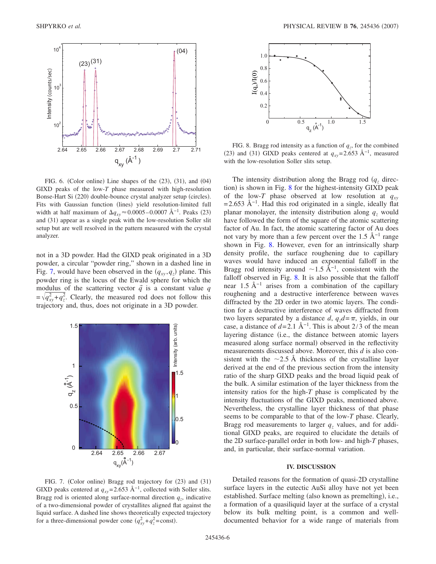<span id="page-5-0"></span>

FIG. 6. (Color online) Line shapes of the  $(23)$ ,  $(31)$ , and  $(04)$ GIXD peaks of the low-*T* phase measured with high-resolution Bonse-Hart Si (220) double-bounce crystal analyzer setup (circles). Fits with Gaussian function (lines) yield resolution-limited full width at half maximum of  $\Delta q_{xy} \approx 0.0005 - 0.0007 \text{ Å}^{-1}$ . Peaks (23) and (31) appear as a single peak with the low-resolution Soller slit setup but are well resolved in the pattern measured with the crystal analyzer.

not in a 3D powder. Had the GIXD peak originated in a 3D powder, a circular "powder ring," shown in a dashed line in Fig. [7,](#page-5-1) would have been observed in the  $(q_{xy}, q_z)$  plane. This powder ring is the locus of the Ewald sphere for which the modulus of the scattering vector  $\vec{q}$  is a constant value *q*  $=\sqrt{q_{xy}^2+q_z^2}$ . Clearly, the measured rod does not follow this trajectory and, thus, does not originate in a 3D powder.

<span id="page-5-1"></span>

FIG. 7. (Color online) Bragg rod trajectory for (23) and (31) GIXD peaks centered at  $q_{xy}$ =2.653 Å<sup>-1</sup>, collected with Soller slits. Bragg rod is oriented along surface-normal direction  $q_z$ , indicative of a two-dimensional powder of crystallites aligned flat against the liquid surface. A dashed line shows theoretically expected trajectory for a three-dimensional powder cone  $(q_{xy}^2 + q_z^2 = \text{const}).$ 

<span id="page-5-2"></span>

FIG. 8. Bragg rod intensity as a function of  $q<sub>z</sub>$ , for the combined (23) and (31) GIXD peaks centered at  $q_{xy}$ =2.653 Å<sup>-1</sup>, measured with the low-resolution Soller slits setup.

The intensity distribution along the Bragg rod  $(q<sub>z</sub>$  direc-tion) is shown in Fig. [8](#page-5-2) for the highest-intensity GIXD peak of the low-*T* phase observed at low resolution at  $q_{xy}$  $=$ 2.653 Å<sup>-1</sup>. Had this rod originated in a single, ideally flat planar monolayer, the intensity distribution along  $q_z$  would have followed the form of the square of the atomic scattering factor of Au. In fact, the atomic scattering factor of Au does not vary by more than a few percent over the 1.5 Å<sup> $-1$ </sup> range shown in Fig. [8.](#page-5-2) However, even for an intrinsically sharp density profile, the surface roughening due to capillary waves would have induced an exponential falloff in the Bragg rod intensity around  $\sim$ 1.5 Å<sup>-1</sup>, consistent with the falloff observed in Fig. [8.](#page-5-2) It is also possible that the falloff near 1.5 Å<sup> $-1$ </sup> arises from a combination of the capillary roughening and a destructive interference between waves diffracted by the 2D order in two atomic layers. The condition for a destructive interference of waves diffracted from two layers separated by a distance *d*,  $q_zd=\pi$ , yields, in our case, a distance of  $d=2.1 \text{ Å}^{-1}$ . This is about 2/3 of the mean layering distance (i.e., the distance between atomic layers measured along surface normal) observed in the reflectivity measurements discussed above. Moreover, this *d* is also consistent with the  $\sim$ 2.5 Å thickness of the crystalline layer derived at the end of the previous section from the intensity ratio of the sharp GIXD peaks and the broad liquid peak of the bulk. A similar estimation of the layer thickness from the intensity ratios for the high-*T* phase is complicated by the intensity fluctuations of the GIXD peaks, mentioned above. Nevertheless, the crystalline layer thickness of that phase seems to be comparable to that of the low-*T* phase. Clearly, Bragg rod measurements to larger  $q_z$  values, and for additional GIXD peaks, are required to elucidate the details of the 2D surface-parallel order in both low- and high-*T* phases, and, in particular, their surface-normal variation.

## **IV. DISCUSSION**

Detailed reasons for the formation of quasi-2D crystalline surface layers in the eutectic AuSi alloy have not yet been established. Surface melting (also known as premelting), i.e., a formation of a quasiliquid layer at the surface of a crystal below its bulk melting point, is a common and welldocumented behavior for a wide range of materials from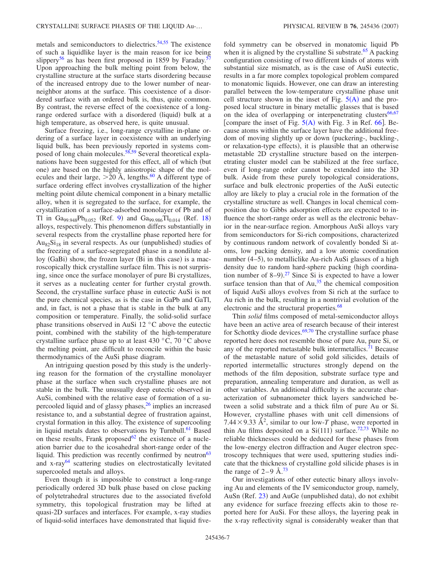metals and semiconductors to dielectrics.<sup>54[,55](#page-8-24)</sup> The existence of such a liquidlike layer is the main reason for ice being slippery<sup>56</sup> as has been first proposed in 1859 by Faraday.<sup>5</sup> Upon approaching the bulk melting point from below, the crystalline structure at the surface starts disordering because of the increased entropy due to the lower number of nearneighbor atoms at the surface. This coexistence of a disordered surface with an ordered bulk is, thus, quite common. By contrast, the reverse effect of the coexistence of a longrange ordered surface with a disordered (liquid) bulk at a high temperature, as observed here, is quite unusual.

Surface freezing, i.e., long-range crystalline in-plane ordering of a surface layer in coexistence with an underlying liquid bulk, has been previously reported in systems com-posed of long chain molecules.<sup>58[,59](#page-8-28)</sup> Several theoretical explanations have been suggested for this effect, all of which (but one) are based on the highly anisotropic shape of the molecules and their large,  $>$  20 Å, lengths.<sup>[60](#page-8-29)</sup> A different type of surface ordering effect involves crystallization of the higher melting point dilute chemical component in a binary metallic alloy, when it is segregated to the surface, for example, the crystallization of a surface-adsorbed monolayer of Pb and of Tl in Ga<sub>[9](#page-7-4)9.948</sub>Pb<sub>0.052</sub> (Ref. 9) and Ga<sub>99.986</sub>Tl<sub>0.014</sub> (Ref. [18](#page-7-6)) alloys, respectively. This phenomenon differs substantially in several respects from the crystalline phase reported here for  $Au_{82}Si_{18}$  in several respects. As our (unpublished) studies of the freezing of a surface-segregated phase in a nondilute alloy (GaBi) show, the frozen layer (Bi in this case) is a macroscopically thick crystalline surface film. This is not surprising, since once the surface monolayer of pure Bi crystallizes, it serves as a nucleating center for further crystal growth. Second, the crystalline surface phase in eutectic AuSi is not the pure chemical species, as is the case in GaPb and GaTl, and, in fact, is not a phase that is stable in the bulk at any composition or temperature. Finally, the solid-solid surface phase transitions observed in AuSi 12 °C above the eutectic point, combined with the stability of the high-temperature crystalline surface phase up to at least 430 °C, 70 °C above the melting point, are difficult to reconcile within the basic thermodynamics of the AuSi phase diagram.

An intriguing question posed by this study is the underlying reason for the formation of the crystalline monolayer phase at the surface when such crystalline phases are not stable in the bulk. The unusually deep eutectic observed in AuSi, combined with the relative ease of formation of a supercooled liquid and of glassy phases,<sup>26</sup> implies an increased resistance to, and a substantial degree of frustration against, crystal formation in this alloy. The existence of supercooling in liquid metals dates to observations by Turnbull.<sup>61</sup> Based on these results, Frank proposed $62$  the existence of a nucleation barrier due to the icosahedral short-range order of the liquid. This prediction was recently confirmed by neutron<sup>63</sup> and x-ray<sup>64</sup> scattering studies on electrostatically levitated supercooled metals and alloys.

Even though it is impossible to construct a long-range periodically ordered 3D bulk phase based on close packing of polytetrahedral structures due to the associated fivefold symmetry, this topological frustration may be lifted at quasi-2D surfaces and interfaces. For example, x-ray studies of liquid-solid interfaces have demonstrated that liquid fivefold symmetry can be observed in monatomic liquid Pb when it is aligned by the crystalline Si substrate.<sup>65</sup> A packing configuration consisting of two different kinds of atoms with substantial size mismatch, as is the case of AuSi eutectic, results in a far more complex topological problem compared to monatomic liquids. However, one can draw an interesting parallel between the low-temperature crystalline phase unit cell structure shown in the inset of Fig.  $5(A)$  $5(A)$  $5(A)$  and the proposed local structure in binary metallic glasses that is based on the idea of overlapping or interpenetrating clusters<sup>66[,67](#page-8-36)</sup> [compare the inset of Fig.  $5(A)$  $5(A)$  $5(A)$  with Fig. 3 in Ref. [66](#page-8-35)]. Because atoms within the surface layer have the additional freedom of moving slightly up or down (puckering-, buckling-, or relaxation-type effects), it is plausible that an otherwise metastable 2D crystalline structure based on the interpenetrating cluster model can be stabilized at the free surface, even if long-range order cannot be extended into the 3D bulk. Aside from these purely topological considerations, surface and bulk electronic properties of the AuSi eutectic alloy are likely to play a crucial role in the formation of the crystalline structure as well. Changes in local chemical composition due to Gibbs adsorption effects are expected to influence the short-range order as well as the electronic behavior in the near-surface region. Amorphous AuSi alloys vary from semiconductors for Si-rich compositions, characterized by continuous random network of covalently bonded Si atoms, low packing density, and a low atomic coordination number (4–5), to metalliclike Au-rich AuSi glasses of a high density due to random hard-sphere packing (high coordination number of  $8-9$ ).<sup>[27](#page-8-1)</sup> Since Si is expected to have a lower surface tension than that of  $Au<sup>35</sup>$ , the chemical composition of liquid AuSi alloys evolves from Si rich at the surface to Au rich in the bulk, resulting in a nontrivial evolution of the electronic and the structural properties.<sup>68</sup>

Thin *solid* films composed of metal-semiconductor alloys have been an active area of research because of their interest for Schottky diode devices. $69,70$  $69,70$  The crystalline surface phase reported here does not resemble those of pure Au, pure Si, or any of the reported metastable bulk intermetallics.<sup>71</sup> Because of the metastable nature of solid gold silicides, details of reported intermetallic structures strongly depend on the methods of the film deposition, substrate surface type and preparation, annealing temperature and duration, as well as other variables. An additional difficulty is the accurate characterization of subnanometer thick layers sandwiched between a solid substrate and a thick film of pure Au or Si. However, crystalline phases with unit cell dimensions of 7.44  $\times$  9.33 Å<sup>2</sup>, similar to our low-*T* phase, were reported in thin Au films deposited on a  $Si(111)$  surface.<sup>72[,73](#page-8-42)</sup> While no reliable thicknesses could be deduced for these phases from the low-energy electron diffraction and Auger electron spectroscopy techniques that were used, sputtering studies indicate that the thickness of crystalline gold silicide phases is in the range of  $2-9$  Å.<sup>[73](#page-8-42)</sup>

Our investigations of other eutectic binary alloys involving Au and elements of the IV semiconductor group, namely, AuSn (Ref. [23](#page-7-2)) and AuGe (unpublished data), do not exhibit any evidence for surface freezing effects akin to those reported here for AuSi. For these alloys, the layering peak in the x-ray reflectivity signal is considerably weaker than that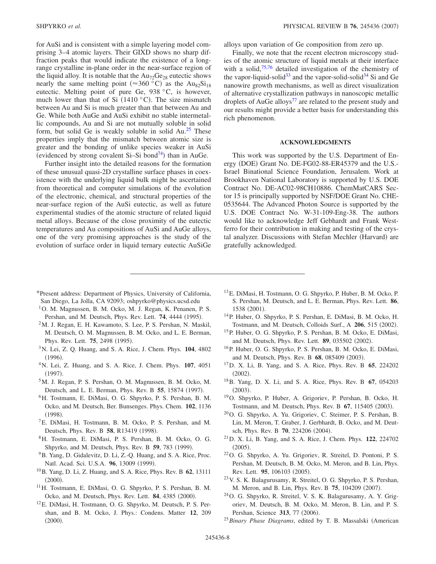for AuSi and is consistent with a simple layering model comprising 3–4 atomic layers. Their GIXD shows no sharp diffraction peaks that would indicate the existence of a longrange crystalline in-plane order in the near-surface region of the liquid alloy. It is notable that the  $Au_{72}Ge_{28}$  eutectic shows nearly the same melting point ( $\approx 360$  °C) as the Au<sub>82</sub>Si<sub>18</sub> eutectic. Melting point of pure Ge, 938 °C, is however, much lower than that of Si  $(1410 \degree C)$ . The size mismatch between Au and Si is much greater than that between Au and Ge. While both AuGe and AuSi exhibit no stable intermetallic compounds, Au and Si are not mutually soluble in solid form, but solid Ge is weakly soluble in solid  $Au^{25}$  These properties imply that the mismatch between atomic size is greater and the bonding of unlike species weaker in AuSi (evidenced by strong covalent Si-Si bond<sup>74</sup>) than in AuGe.

Further insight into the detailed reasons for the formation of these unusual quasi-2D crystalline surface phases in coexistence with the underlying liquid bulk might be ascertained from theoretical and computer simulations of the evolution of the electronic, chemical, and structural properties of the near-surface region of the AuSi eutectic, as well as future experimental studies of the atomic structure of related liquid metal alloys. Because of the close proximity of the eutectic temperatures and Au compositions of AuSi and AuGe alloys, one of the very promising approaches is the study of the evolution of surface order in liquid ternary eutectic AuSiGe alloys upon variation of Ge composition from zero up.

Finally, we note that the recent electron microscopy studies of the atomic structure of liquid metals at their interface with a solid, $75,76$  $75,76$  detailed investigation of the chemistry of the vapor-liquid-solid<sup>33</sup> and the vapor-solid-solid<sup>34</sup> Si and Ge nanowire growth mechanisms, as well as direct visualization of alternative crystallization pathways in nanoscopic metallic droplets of AuGe alloys<sup>77</sup> are related to the present study and our results might provide a better basis for understanding this rich phenomenon.

#### **ACKNOWLEDGMENTS**

This work was supported by the U.S. Department of Energy (DOE) Grant No. DE-FG02-88-ER45379 and the U.S.-Israel Binational Science Foundation, Jerusalem. Work at Brookhaven National Laboratory is supported by U.S. DOE Contract No. DE-AC02-98CH10886. ChemMatCARS Sector 15 is principally supported by NSF/DOE Grant No. CHE-0535644. The Advanced Photon Source is supported by the U.S. DOE Contract No. W-31-109-Eng-38. The authors would like to acknowledge Jeff Gebhardt and Frank Westferro for their contribution in making and testing of the crystal analyzer. Discussions with Stefan Mechler (Harvard) are gratefully acknowledged.

- <span id="page-7-0"></span>\*Present address: Department of Physics, University of California, San Diego, La Jolla, CA 92093; oshpyrko@physics.ucsd.edu
- <span id="page-7-1"></span><sup>1</sup>O. M. Magnussen, B. M. Ocko, M. J. Regan, K. Penanen, P. S. Pershan, and M. Deutsch, Phys. Rev. Lett. **74**, 4444 (1995).
- $2<sup>2</sup>M$ . J. Regan, E. H. Kawamoto, S. Lee, P. S. Pershan, N. Maskil, M. Deutsch, O. M. Magnussen, B. M. Ocko, and L. E. Berman, Phys. Rev. Lett. **75**, 2498 (1995).
- 3N. Lei, Z. Q. Huang, and S. A. Rice, J. Chem. Phys. **104**, 4802  $(1996).$
- 4N. Lei, Z. Huang, and S. A. Rice, J. Chem. Phys. **107**, 4051  $(1997).$
- 5M. J. Regan, P. S. Pershan, O. M. Magnussen, B. M. Ocko, M. Deutsch, and L. E. Berman, Phys. Rev. B 55, 15874 (1997).
- 6H. Tostmann, E. DiMasi, O. G. Shpyrko, P. S. Pershan, B. M. Ocko, and M. Deutsch, Ber. Bunsenges. Phys. Chem. **102**, 1136  $(1998).$
- 7E. DiMasi, H. Tostmann, B. M. Ocko, P. S. Pershan, and M. Deutsch, Phys. Rev. B 58, R13419 (1998).
- <span id="page-7-8"></span>8H. Tostmann, E. DiMasi, P. S. Pershan, B. M. Ocko, O. G. Shpyrko, and M. Deutsch, Phys. Rev. B 59, 783 (1999).
- <span id="page-7-4"></span>9B. Yang, D. Gidalevitz, D. Li, Z.-Q. Huang, and S. A. Rice, Proc. Natl. Acad. Sci. U.S.A. 96, 13009 (1999).
- <span id="page-7-5"></span>10B. Yang, D. Li, Z. Huang, and S. A. Rice, Phys. Rev. B **62**, 13111  $(2000).$
- 11H. Tostmann, E. DiMasi, O. G. Shpyrko, P. S. Pershan, B. M. Ocko, and M. Deutsch, Phys. Rev. Lett. **84**, 4385 (2000).
- 12E. DiMasi, H. Tostmann, O. G. Shpyrko, M. Deutsch, P. S. Pershan, and B. M. Ocko, J. Phys.: Condens. Matter **12**, 209  $(2000).$
- 13E. DiMasi, H. Tostmann, O. G. Shpyrko, P. Huber, B. M. Ocko, P. S. Pershan, M. Deutsch, and L. E. Berman, Phys. Rev. Lett. **86**, 1538 (2001).
- 14P. Huber, O. Shpyrko, P. S. Pershan, E. DiMasi, B. M. Ocko, H. Tostmann, and M. Deutsch, Colloids Surf., A 206, 515 (2002).
- 15P. Huber, O. G. Shpyrko, P. S. Pershan, B. M. Ocko, E. DiMasi, and M. Deutsch, Phys. Rev. Lett. 89, 035502 (2002).
- 16P. Huber, O. G. Shpyrko, P. S. Pershan, B. M. Ocko, E. DiMasi, and M. Deutsch, Phys. Rev. B 68, 085409 (2003).
- 17D. X. Li, B. Yang, and S. A. Rice, Phys. Rev. B **65**, 224202  $(2002).$
- <span id="page-7-6"></span>18B. Yang, D. X. Li, and S. A. Rice, Phys. Rev. B **67**, 054203  $(2003).$
- <span id="page-7-9"></span>19O. Shpyrko, P. Huber, A. Grigoriev, P. Pershan, B. Ocko, H. Tostmann, and M. Deutsch, Phys. Rev. B 67, 115405 (2003).
- 20O. G. Shpyrko, A. Yu. Grigoriev, C. Steimer, P. S. Pershan, B. Lin, M. Meron, T. Graber, J. Gerbhardt, B. Ocko, and M. Deutsch, Phys. Rev. B 70, 224206 (2004).
- 21D. X. Li, B. Yang, and S. A. Rice, J. Chem. Phys. **122**, 224702  $(2005).$
- 22O. G. Shpyrko, A. Yu. Grigoriev, R. Streitel, D. Pontoni, P. S. Pershan, M. Deutsch, B. M. Ocko, M. Meron, and B. Lin, Phys. Rev. Lett. 95, 106103 (2005).
- <span id="page-7-2"></span>23V. S. K. Balagurusamy, R. Streitel, O. G. Shpyrko, P. S. Pershan, M. Meron, and B. Lin, Phys. Rev. B 75, 104209 (2007).
- <span id="page-7-3"></span>24O. G. Shpyrko, R. Streitel, V. S. K. Balagurusamy, A. Y. Grigoriev, M. Deutsch, B. M. Ocko, M. Meron, B. Lin, and P. S. Pershan, Science 313, 77 (2006).
- <span id="page-7-7"></span><sup>25</sup> Binary Phase Diagrams, edited by T. B. Massalski (American